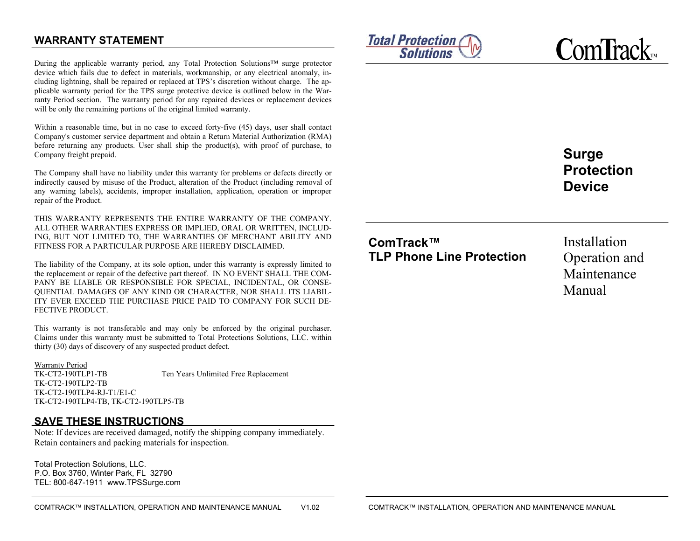## **WARRANTY STATEMENT**

During the applicable warranty period, any Total Protection Solutions™ surge protector device which fails due to defect in materials, workmanship, or any electrical anomaly, including lightning, shall be repaired or replaced at TPS's discretion without charge. The applicable warranty period for the TPS surge protective device is outlined below in the Warranty Period section. The warranty period for any repaired devices or replacement devices will be only the remaining portions of the original limited warranty.

Within a reasonable time, but in no case to exceed forty-five (45) days, user shall contact Company's customer service department and obtain a Return Material Authorization (RMA) before returning any products. User shall ship the product(s), with proof of purchase, to Company freight prepaid.

The Company shall have no liability under this warranty for problems or defects directly or indirectly caused by misuse of the Product, alteration of the Product (including removal of any warning labels), accidents, improper installation, application, operation or improper repair of the Product.

THIS WARRANTY REPRESENTS THE ENTIRE WARRANTY OF THE COMPANY. ALL OTHER WARRANTIES EXPRESS OR IMPLIED, ORAL OR WRITTEN, INCLUD-ING, BUT NOT LIMITED TO, THE WARRANTIES OF MERCHANT ABILITY AND FITNESS FOR A PARTICULAR PURPOSE ARE HEREBY DISCLAIMED.

The liability of the Company, at its sole option, under this warranty is expressly limited to the replacement or repair of the defective part thereof. IN NO EVENT SHALL THE COM-PANY BE LIABLE OR RESPONSIBLE FOR SPECIAL, INCIDENTAL, OR CONSE-QUENTIAL DAMAGES OF ANY KIND OR CHARACTER, NOR SHALL ITS LIABIL-ITY EVER EXCEED THE PURCHASE PRICE PAID TO COMPANY FOR SUCH DE-FECTIVE PRODUCT.

This warranty is not transferable and may only be enforced by the original purchaser. Claims under this warranty must be submitted to Total Protections Solutions, LLC. within thirty (30) days of discovery of any suspected product defect.

Warranty Period

TK-CT2-190TLP1-TB Ten Years Unlimited Free Replacement TK-CT2-190TLP2-TB TK-CT2-190TLP4-RJ-T1/E1-C TK-CT2-190TLP4-TB, TK-CT2-190TLP5-TB

#### **SAVE THESE INSTRUCTIONS**

Note: If devices are received damaged, notify the shipping company immediately. Retain containers and packing materials for inspection.

Total Protection Solutions, LLC. P.O. Box 3760, Winter Park, FL 32790 TEL: 800-647-1911 www.TPSSurge.com



**C**om**T**rack™

**Surge Protection Device** 

# **ComTrack™ TLP Phone Line Protection**

Installation Operation and Maintenance Manual